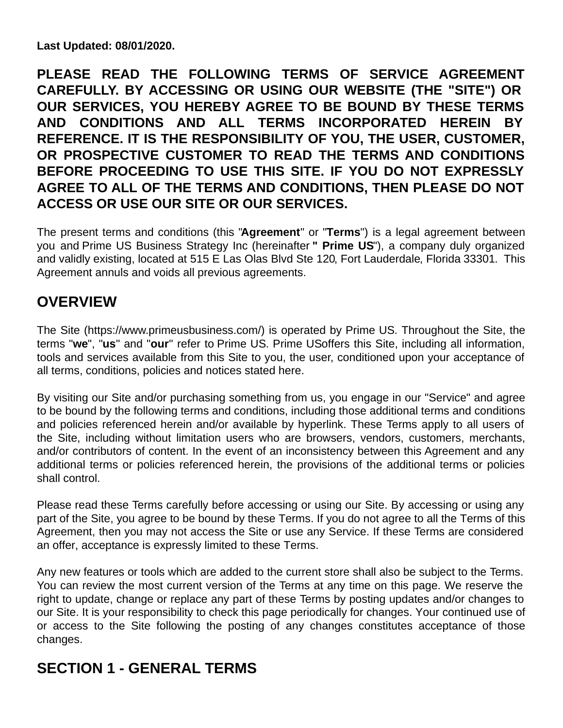**Last Updated: 08/01/2020.**

**PLEASE READ THE FOLLOWING TERMS OF SERVICE AGREEMENT CAREFULLY. BY ACCESSING OR USING OUR WEBSITE (THE "SITE") OR OUR SERVICES, YOU HEREBY AGREE TO BE BOUND BY THESE TERMS AND CONDITIONS AND ALL TERMS INCORPORATED HEREIN BY REFERENCE. IT IS THE RESPONSIBILITY OF YOU, THE USER, CUSTOMER, OR PROSPECTIVE CUSTOMER TO READ THE TERMS AND CONDITIONS BEFORE PROCEEDING TO USE THIS SITE. IF YOU DO NOT EXPRESSLY AGREE TO ALL OF THE TERMS AND CONDITIONS, THEN PLEASE DO NOT ACCESS OR USE OUR SITE OR OUR SERVICES.**

The present terms and conditions (this "**Agreement**" or "**Terms**") is a legal agreement between you and Prime US Business Strategy Inc (hereinafter **" Prime US**"), a company duly organized and validly existing, located at 515 E Las Olas Blvd Ste 120, Fort Lauderdale, Florida 33301. This Agreement annuls and voids all previous agreements.

# **OVERVIEW**

The Site (https://www.primeusbusiness.com/) is operated by Prime US. Throughout the Site, the terms "**we**", "**us**" and "**our**" refer to Prime US. Prime USoffers this Site, including all information, tools and services available from this Site to you, the user, conditioned upon your acceptance of all terms, conditions, policies and notices stated here.

By visiting our Site and/or purchasing something from us, you engage in our "Service" and agree to be bound by the following terms and conditions, including those additional terms and conditions and policies referenced herein and/or available by hyperlink. These Terms apply to all users of the Site, including without limitation users who are browsers, vendors, customers, merchants, and/or contributors of content. In the event of an inconsistency between this Agreement and any additional terms or policies referenced herein, the provisions of the additional terms or policies shall control.

Please read these Terms carefully before accessing or using our Site. By accessing or using any part of the Site, you agree to be bound by these Terms. If you do not agree to all the Terms of this Agreement, then you may not access the Site or use any Service. If these Terms are considered an offer, acceptance is expressly limited to these Terms.

Any new features or tools which are added to the current store shall also be subject to the Terms. You can review the most current version of the Terms at any time on this page. We reserve the right to update, change or replace any part of these Terms by posting updates and/or changes to our Site. It is your responsibility to check this page periodically for changes. Your continued use of or access to the Site following the posting of any changes constitutes acceptance of those changes.

# **SECTION 1 - GENERAL TERMS**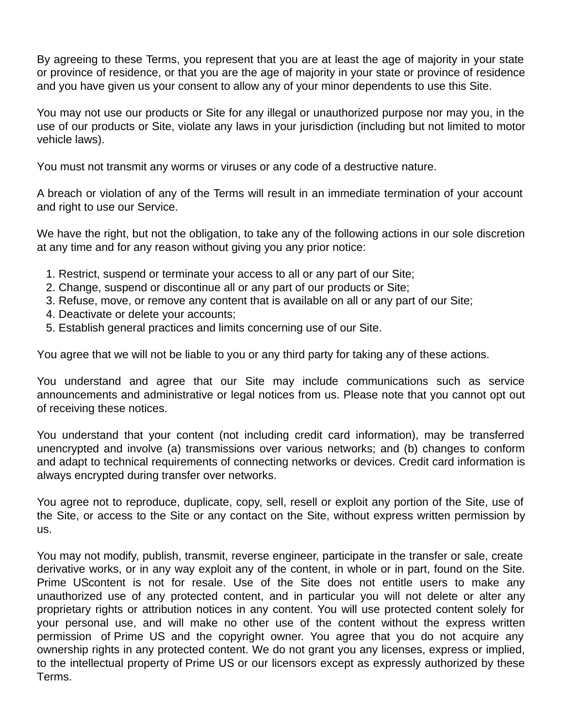By agreeing to these Terms, you represent that you are at least the age of majority in your state or province of residence, or that you are the age of majority in your state or province of residence and you have given us your consent to allow any of your minor dependents to use this Site.

You may not use our products or Site for any illegal or unauthorized purpose nor may you, in the use of our products or Site, violate any laws in your jurisdiction (including but not limited to motor vehicle laws).

You must not transmit any worms or viruses or any code of a destructive nature.

A breach or violation of any of the Terms will result in an immediate termination of your account and right to use our Service.

We have the right, but not the obligation, to take any of the following actions in our sole discretion at any time and for any reason without giving you any prior notice:

- 1. Restrict, suspend or terminate your access to all or any part of our Site;
- 2. Change, suspend or discontinue all or any part of our products or Site;
- 3. Refuse, move, or remove any content that is available on all or any part of our Site;
- 4. Deactivate or delete your accounts;
- 5. Establish general practices and limits concerning use of our Site.

You agree that we will not be liable to you or any third party for taking any of these actions.

You understand and agree that our Site may include communications such as service announcements and administrative or legal notices from us. Please note that you cannot opt out of receiving these notices.

You understand that your content (not including credit card information), may be transferred unencrypted and involve (a) transmissions over various networks; and (b) changes to conform and adapt to technical requirements of connecting networks or devices. Credit card information is always encrypted during transfer over networks.

You agree not to reproduce, duplicate, copy, sell, resell or exploit any portion of the Site, use of the Site, or access to the Site or any contact on the Site, without express written permission by us.

You may not modify, publish, transmit, reverse engineer, participate in the transfer or sale, create derivative works, or in any way exploit any of the content, in whole or in part, found on the Site. Prime UScontent is not for resale. Use of the Site does not entitle users to make any unauthorized use of any protected content, and in particular you will not delete or alter any proprietary rights or attribution notices in any content. You will use protected content solely for your personal use, and will make no other use of the content without the express written permission of Prime US and the copyright owner. You agree that you do not acquire any ownership rights in any protected content. We do not grant you any licenses, express or implied, to the intellectual property of Prime US or our licensors except as expressly authorized by these Terms.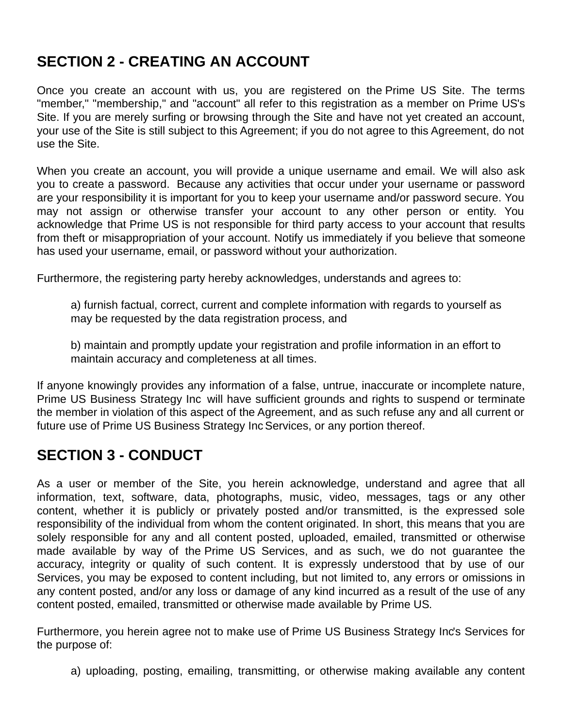# **SECTION 2 - CREATING AN ACCOUNT**

Once you create an account with us, you are registered on the Prime US Site. The terms "member," "membership," and "account" all refer to this registration as a member on Prime US's Site. If you are merely surfing or browsing through the Site and have not yet created an account, your use of the Site is still subject to this Agreement; if you do not agree to this Agreement, do not use the Site.

When you create an account, you will provide a unique username and email. We will also ask you to create a password. Because any activities that occur under your username or password are your responsibility it is important for you to keep your username and/or password secure. You may not assign or otherwise transfer your account to any other person or entity. You acknowledge that Prime US is not responsible for third party access to your account that results from theft or misappropriation of your account. Notify us immediately if you believe that someone has used your username, email, or password without your authorization.

Furthermore, the registering party hereby acknowledges, understands and agrees to:

a) furnish factual, correct, current and complete information with regards to yourself as may be requested by the data registration process, and

b) maintain and promptly update your registration and profile information in an effort to maintain accuracy and completeness at all times.

If anyone knowingly provides any information of a false, untrue, inaccurate or incomplete nature, Prime US Business Strategy Inc will have sufficient grounds and rights to suspend or terminate the member in violation of this aspect of the Agreement, and as such refuse any and all current or future use of Prime US Business Strategy Inc Services, or any portion thereof.

#### **SECTION 3 - CONDUCT**

As a user or member of the Site, you herein acknowledge, understand and agree that all information, text, software, data, photographs, music, video, messages, tags or any other content, whether it is publicly or privately posted and/or transmitted, is the expressed sole responsibility of the individual from whom the content originated. In short, this means that you are solely responsible for any and all content posted, uploaded, emailed, transmitted or otherwise made available by way of the Prime US Services, and as such, we do not guarantee the accuracy, integrity or quality of such content. It is expressly understood that by use of our Services, you may be exposed to content including, but not limited to, any errors or omissions in any content posted, and/or any loss or damage of any kind incurred as a result of the use of any content posted, emailed, transmitted or otherwise made available by Prime US.

Furthermore, you herein agree not to make use of Prime US Business Strategy Inc's Services for the purpose of:

a) uploading, posting, emailing, transmitting, or otherwise making available any content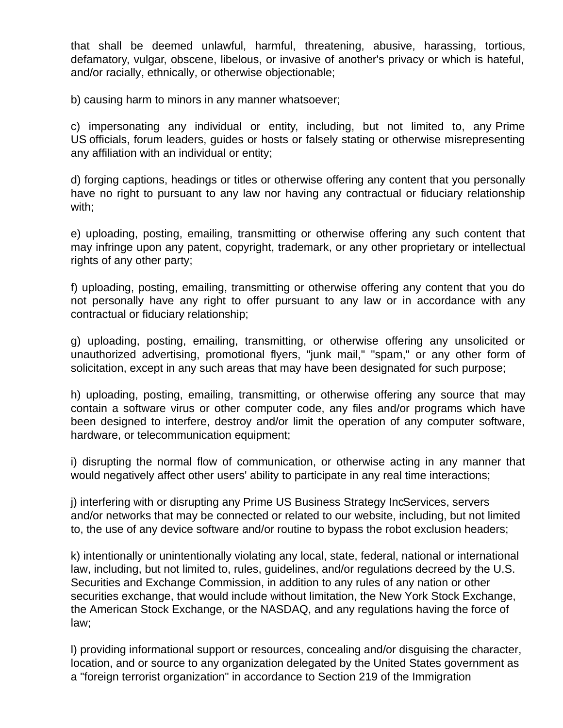that shall be deemed unlawful, harmful, threatening, abusive, harassing, tortious, defamatory, vulgar, obscene, libelous, or invasive of another's privacy or which is hateful, and/or racially, ethnically, or otherwise objectionable;

b) causing harm to minors in any manner whatsoever;

c) impersonating any individual or entity, including, but not limited to, any Prime US officials, forum leaders, guides or hosts or falsely stating or otherwise misrepresenting any affiliation with an individual or entity;

d) forging captions, headings or titles or otherwise offering any content that you personally have no right to pursuant to any law nor having any contractual or fiduciary relationship with;

e) uploading, posting, emailing, transmitting or otherwise offering any such content that may infringe upon any patent, copyright, trademark, or any other proprietary or intellectual rights of any other party;

f) uploading, posting, emailing, transmitting or otherwise offering any content that you do not personally have any right to offer pursuant to any law or in accordance with any contractual or fiduciary relationship;

g) uploading, posting, emailing, transmitting, or otherwise offering any unsolicited or unauthorized advertising, promotional flyers, "junk mail," "spam," or any other form of solicitation, except in any such areas that may have been designated for such purpose;

h) uploading, posting, emailing, transmitting, or otherwise offering any source that may contain a software virus or other computer code, any files and/or programs which have been designed to interfere, destroy and/or limit the operation of any computer software, hardware, or telecommunication equipment;

i) disrupting the normal flow of communication, or otherwise acting in any manner that would negatively affect other users' ability to participate in any real time interactions;

j) interfering with or disrupting any Prime US Business Strategy IncServices, servers and/or networks that may be connected or related to our website, including, but not limited to, the use of any device software and/or routine to bypass the robot exclusion headers;

k) intentionally or unintentionally violating any local, state, federal, national or international law, including, but not limited to, rules, guidelines, and/or regulations decreed by the U.S. Securities and Exchange Commission, in addition to any rules of any nation or other securities exchange, that would include without limitation, the New York Stock Exchange, the American Stock Exchange, or the NASDAQ, and any regulations having the force of law;

l) providing informational support or resources, concealing and/or disguising the character, location, and or source to any organization delegated by the United States government as a "foreign terrorist organization" in accordance to Section 219 of the Immigration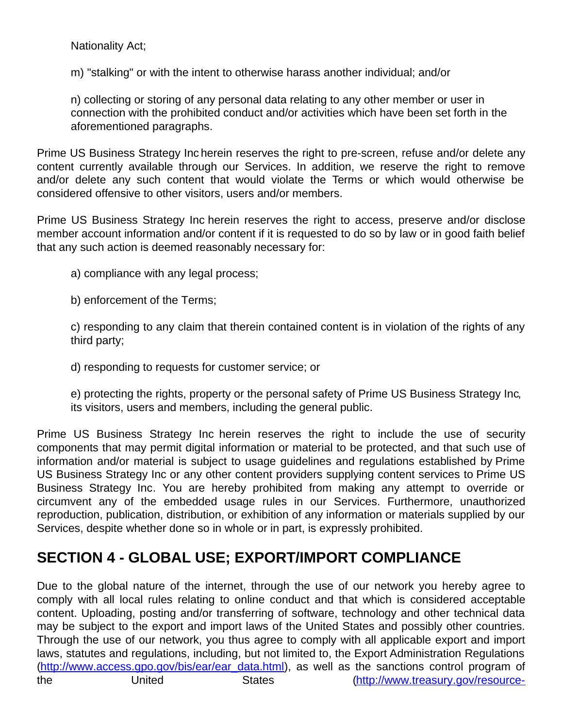Nationality Act;

m) "stalking" or with the intent to otherwise harass another individual; and/or

n) collecting or storing of any personal data relating to any other member or user in connection with the prohibited conduct and/or activities which have been set forth in the aforementioned paragraphs.

Prime US Business Strategy Inc herein reserves the right to pre-screen, refuse and/or delete any content currently available through our Services. In addition, we reserve the right to remove and/or delete any such content that would violate the Terms or which would otherwise be considered offensive to other visitors, users and/or members.

Prime US Business Strategy Inc herein reserves the right to access, preserve and/or disclose member account information and/or content if it is requested to do so by law or in good faith belief that any such action is deemed reasonably necessary for:

a) compliance with any legal process;

b) enforcement of the Terms;

c) responding to any claim that therein contained content is in violation of the rights of any third party;

d) responding to requests for customer service; or

e) protecting the rights, property or the personal safety of Prime US Business Strategy Inc, its visitors, users and members, including the general public.

Prime US Business Strategy Inc herein reserves the right to include the use of security components that may permit digital information or material to be protected, and that such use of information and/or material is subject to usage guidelines and regulations established by Prime US Business Strategy Inc or any other content providers supplying content services to Prime US Business Strategy Inc. You are hereby prohibited from making any attempt to override or circumvent any of the embedded usage rules in our Services. Furthermore, unauthorized reproduction, publication, distribution, or exhibition of any information or materials supplied by our Services, despite whether done so in whole or in part, is expressly prohibited.

## **SECTION 4 - GLOBAL USE; EXPORT/IMPORT COMPLIANCE**

Due to the global nature of the internet, through the use of our network you hereby agree to comply with all local rules relating to online conduct and that which is considered acceptable content. Uploading, posting and/or transferring of software, technology and other technical data may be subject to the export and import laws of the United States and possibly other countries. Through the use of our network, you thus agree to comply with all applicable export and import laws, statutes and regulations, including, but not limited to, the Export Administration Regulations (http://www.access.gpo.gov/bis/ear/ear\_data.html), as well as the sanctions control program of the United States (http://www.treasury.gov/resource-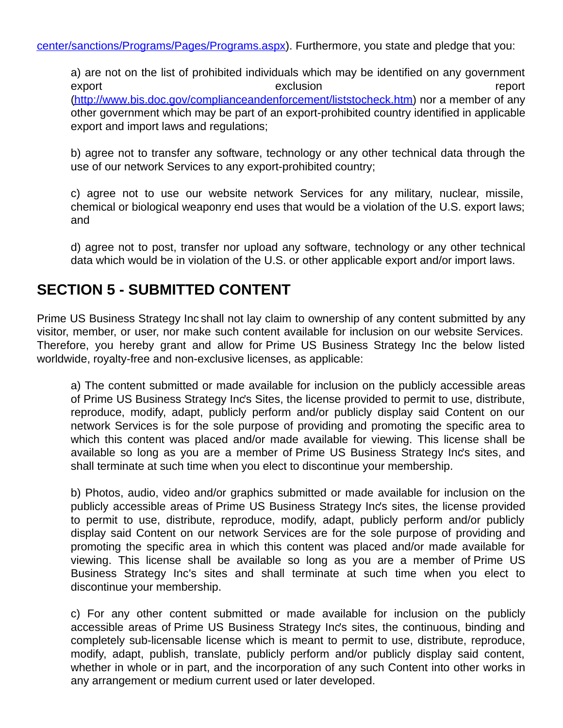a) are not on the list of prohibited individuals which may be identified on any government export exclusion report (http://www.bis.doc.gov/complianceandenforcement/liststocheck.htm) nor a member of any other government which may be part of an export-prohibited country identified in applicable export and import laws and regulations;

b) agree not to transfer any software, technology or any other technical data through the use of our network Services to any export-prohibited country;

c) agree not to use our website network Services for any military, nuclear, missile, chemical or biological weaponry end uses that would be a violation of the U.S. export laws; and

d) agree not to post, transfer nor upload any software, technology or any other technical data which would be in violation of the U.S. or other applicable export and/or import laws.

#### **SECTION 5 - SUBMITTED CONTENT**

Prime US Business Strategy Inc shall not lay claim to ownership of any content submitted by any visitor, member, or user, nor make such content available for inclusion on our website Services. Therefore, you hereby grant and allow for Prime US Business Strategy Inc the below listed worldwide, royalty-free and non-exclusive licenses, as applicable:

a) The content submitted or made available for inclusion on the publicly accessible areas of Prime US Business Strategy Inc's Sites, the license provided to permit to use, distribute, reproduce, modify, adapt, publicly perform and/or publicly display said Content on our network Services is for the sole purpose of providing and promoting the specific area to which this content was placed and/or made available for viewing. This license shall be available so long as you are a member of Prime US Business Strategy Inc's sites, and shall terminate at such time when you elect to discontinue your membership.

b) Photos, audio, video and/or graphics submitted or made available for inclusion on the publicly accessible areas of Prime US Business Strategy Inc's sites, the license provided to permit to use, distribute, reproduce, modify, adapt, publicly perform and/or publicly display said Content on our network Services are for the sole purpose of providing and promoting the specific area in which this content was placed and/or made available for viewing. This license shall be available so long as you are a member of Prime US Business Strategy Inc's sites and shall terminate at such time when you elect to discontinue your membership.

c) For any other content submitted or made available for inclusion on the publicly accessible areas of Prime US Business Strategy Inc's sites, the continuous, binding and completely sub-licensable license which is meant to permit to use, distribute, reproduce, modify, adapt, publish, translate, publicly perform and/or publicly display said content, whether in whole or in part, and the incorporation of any such Content into other works in any arrangement or medium current used or later developed.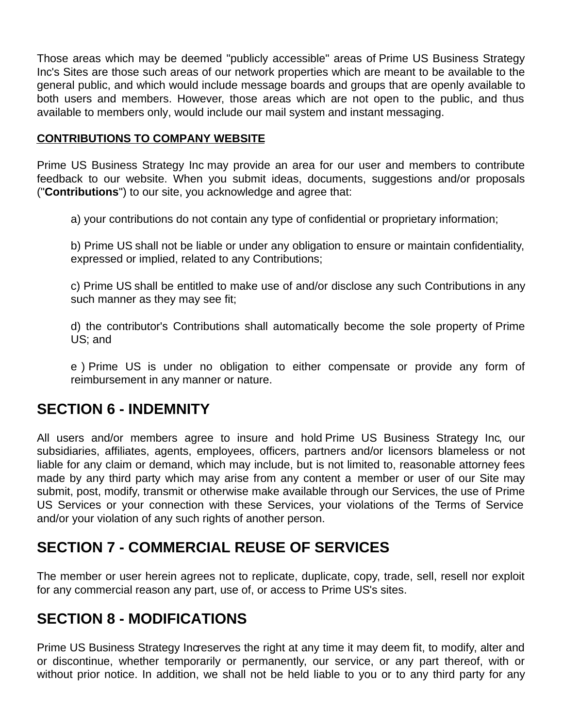Those areas which may be deemed "publicly accessible" areas of Prime US Business Strategy Inc's Sites are those such areas of our network properties which are meant to be available to the general public, and which would include message boards and groups that are openly available to both users and members. However, those areas which are not open to the public, and thus available to members only, would include our mail system and instant messaging.

#### **CONTRIBUTIONS TO COMPANY WEBSITE**

Prime US Business Strategy Inc may provide an area for our user and members to contribute feedback to our website. When you submit ideas, documents, suggestions and/or proposals ("**Contributions**") to our site, you acknowledge and agree that:

a) your contributions do not contain any type of confidential or proprietary information;

b) Prime US shall not be liable or under any obligation to ensure or maintain confidentiality, expressed or implied, related to any Contributions;

c) Prime US shall be entitled to make use of and/or disclose any such Contributions in any such manner as they may see fit;

d) the contributor's Contributions shall automatically become the sole property of Prime US; and

e ) Prime US is under no obligation to either compensate or provide any form of reimbursement in any manner or nature.

#### **SECTION 6 - INDEMNITY**

All users and/or members agree to insure and hold Prime US Business Strategy Inc, our subsidiaries, affiliates, agents, employees, officers, partners and/or licensors blameless or not liable for any claim or demand, which may include, but is not limited to, reasonable attorney fees made by any third party which may arise from any content a member or user of our Site may submit, post, modify, transmit or otherwise make available through our Services, the use of Prime US Services or your connection with these Services, your violations of the Terms of Service and/or your violation of any such rights of another person.

#### **SECTION 7 - COMMERCIAL REUSE OF SERVICES**

The member or user herein agrees not to replicate, duplicate, copy, trade, sell, resell nor exploit for any commercial reason any part, use of, or access to Prime US's sites.

#### **SECTION 8 - MODIFICATIONS**

Prime US Business Strategy Increserves the right at any time it may deem fit, to modify, alter and or discontinue, whether temporarily or permanently, our service, or any part thereof, with or without prior notice. In addition, we shall not be held liable to you or to any third party for any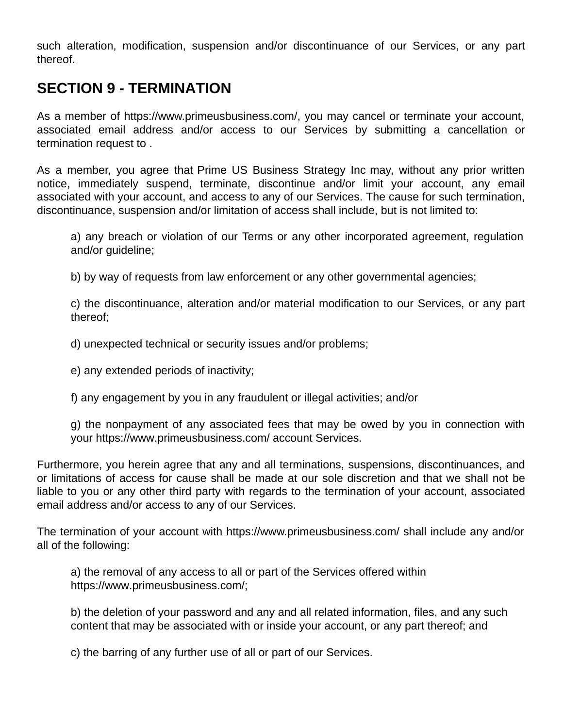such alteration, modification, suspension and/or discontinuance of our Services, or any part thereof.

#### **SECTION 9 - TERMINATION**

As a member of https://www.primeusbusiness.com/, you may cancel or terminate your account, associated email address and/or access to our Services by submitting a cancellation or termination request to .

As a member, you agree that Prime US Business Strategy Inc may, without any prior written notice, immediately suspend, terminate, discontinue and/or limit your account, any email associated with your account, and access to any of our Services. The cause for such termination, discontinuance, suspension and/or limitation of access shall include, but is not limited to:

a) any breach or violation of our Terms or any other incorporated agreement, regulation and/or guideline;

b) by way of requests from law enforcement or any other governmental agencies;

c) the discontinuance, alteration and/or material modification to our Services, or any part thereof;

d) unexpected technical or security issues and/or problems;

e) any extended periods of inactivity;

f) any engagement by you in any fraudulent or illegal activities; and/or

g) the nonpayment of any associated fees that may be owed by you in connection with your https://www.primeusbusiness.com/ account Services.

Furthermore, you herein agree that any and all terminations, suspensions, discontinuances, and or limitations of access for cause shall be made at our sole discretion and that we shall not be liable to you or any other third party with regards to the termination of your account, associated email address and/or access to any of our Services.

The termination of your account with https://www.primeusbusiness.com/ shall include any and/or all of the following:

a) the removal of any access to all or part of the Services offered within https://www.primeusbusiness.com/;

b) the deletion of your password and any and all related information, files, and any such content that may be associated with or inside your account, or any part thereof; and

c) the barring of any further use of all or part of our Services.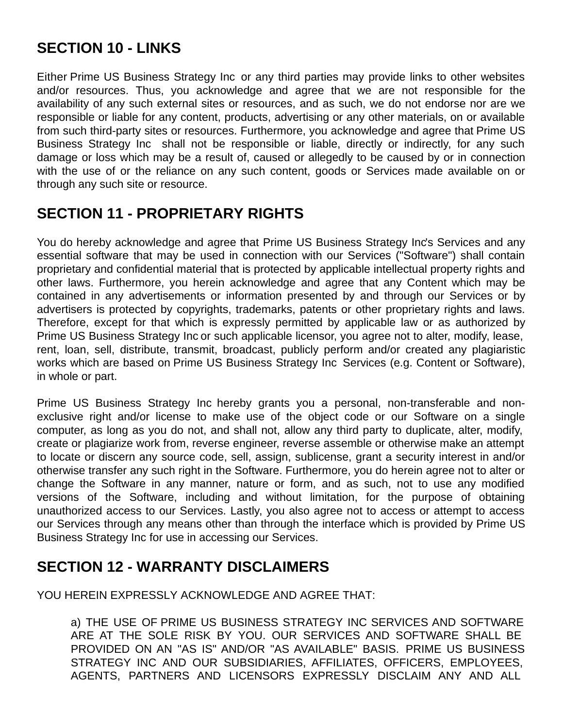## **SECTION 10 - LINKS**

Either Prime US Business Strategy Inc or any third parties may provide links to other websites and/or resources. Thus, you acknowledge and agree that we are not responsible for the availability of any such external sites or resources, and as such, we do not endorse nor are we responsible or liable for any content, products, advertising or any other materials, on or available from such third-party sites or resources. Furthermore, you acknowledge and agree that Prime US Business Strategy Inc shall not be responsible or liable, directly or indirectly, for any such damage or loss which may be a result of, caused or allegedly to be caused by or in connection with the use of or the reliance on any such content, goods or Services made available on or through any such site or resource.

#### **SECTION 11 - PROPRIETARY RIGHTS**

You do hereby acknowledge and agree that Prime US Business Strategy Inc's Services and any essential software that may be used in connection with our Services ("Software") shall contain proprietary and confidential material that is protected by applicable intellectual property rights and other laws. Furthermore, you herein acknowledge and agree that any Content which may be contained in any advertisements or information presented by and through our Services or by advertisers is protected by copyrights, trademarks, patents or other proprietary rights and laws. Therefore, except for that which is expressly permitted by applicable law or as authorized by Prime US Business Strategy Inc or such applicable licensor, you agree not to alter, modify, lease, rent, loan, sell, distribute, transmit, broadcast, publicly perform and/or created any plagiaristic works which are based on Prime US Business Strategy Inc Services (e.g. Content or Software), in whole or part.

Prime US Business Strategy Inc hereby grants you a personal, non-transferable and nonexclusive right and/or license to make use of the object code or our Software on a single computer, as long as you do not, and shall not, allow any third party to duplicate, alter, modify, create or plagiarize work from, reverse engineer, reverse assemble or otherwise make an attempt to locate or discern any source code, sell, assign, sublicense, grant a security interest in and/or otherwise transfer any such right in the Software. Furthermore, you do herein agree not to alter or change the Software in any manner, nature or form, and as such, not to use any modified versions of the Software, including and without limitation, for the purpose of obtaining unauthorized access to our Services. Lastly, you also agree not to access or attempt to access our Services through any means other than through the interface which is provided by Prime US Business Strategy Inc for use in accessing our Services.

#### **SECTION 12 - WARRANTY DISCLAIMERS**

YOU HEREIN EXPRESSLY ACKNOWLEDGE AND AGREE THAT:

a) THE USE OF PRIME US BUSINESS STRATEGY INC SERVICES AND SOFTWARE ARE AT THE SOLE RISK BY YOU. OUR SERVICES AND SOFTWARE SHALL BE PROVIDED ON AN "AS IS" AND/OR "AS AVAILABLE" BASIS. PRIME US BUSINESS STRATEGY INC AND OUR SUBSIDIARIES, AFFILIATES, OFFICERS, EMPLOYEES, AGENTS, PARTNERS AND LICENSORS EXPRESSLY DISCLAIM ANY AND ALL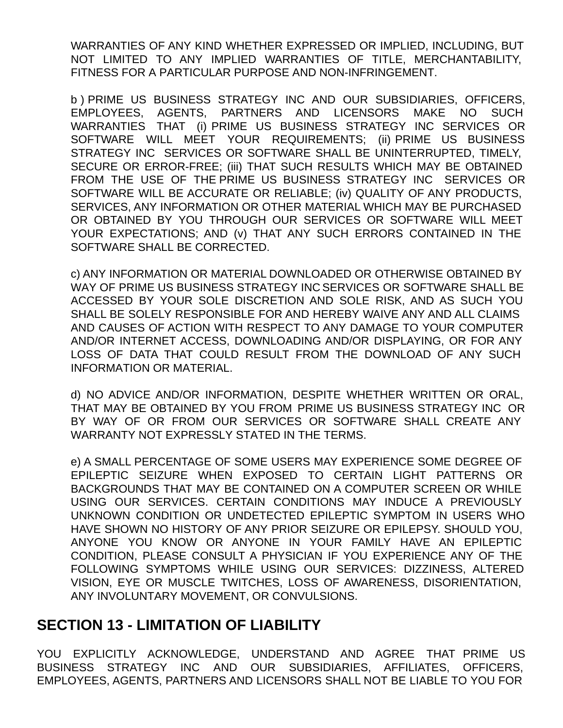WARRANTIES OF ANY KIND WHETHER EXPRESSED OR IMPLIED, INCLUDING, BUT NOT LIMITED TO ANY IMPLIED WARRANTIES OF TITLE, MERCHANTABILITY, FITNESS FOR A PARTICULAR PURPOSE AND NON-INFRINGEMENT.

b ) PRIME US BUSINESS STRATEGY INC AND OUR SUBSIDIARIES, OFFICERS, EMPLOYEES, AGENTS, PARTNERS AND LICENSORS MAKE NO SUCH WARRANTIES THAT (i) PRIME US BUSINESS STRATEGY INC SERVICES OR SOFTWARE WILL MEET YOUR REQUIREMENTS; (ii) PRIME US BUSINESS STRATEGY INC SERVICES OR SOFTWARE SHALL BE UNINTERRUPTED, TIMELY, SECURE OR ERROR-FREE; (iii) THAT SUCH RESULTS WHICH MAY BE OBTAINED FROM THE USE OF THE PRIME US BUSINESS STRATEGY INC SERVICES OR SOFTWARE WILL BE ACCURATE OR RELIABLE; (iv) QUALITY OF ANY PRODUCTS, SERVICES, ANY INFORMATION OR OTHER MATERIAL WHICH MAY BE PURCHASED OR OBTAINED BY YOU THROUGH OUR SERVICES OR SOFTWARE WILL MEET YOUR EXPECTATIONS; AND (v) THAT ANY SUCH ERRORS CONTAINED IN THE SOFTWARE SHALL BE CORRECTED.

c) ANY INFORMATION OR MATERIAL DOWNLOADED OR OTHERWISE OBTAINED BY WAY OF PRIME US BUSINESS STRATEGY INC SERVICES OR SOFTWARE SHALL BE ACCESSED BY YOUR SOLE DISCRETION AND SOLE RISK, AND AS SUCH YOU SHALL BE SOLELY RESPONSIBLE FOR AND HEREBY WAIVE ANY AND ALL CLAIMS AND CAUSES OF ACTION WITH RESPECT TO ANY DAMAGE TO YOUR COMPUTER AND/OR INTERNET ACCESS, DOWNLOADING AND/OR DISPLAYING, OR FOR ANY LOSS OF DATA THAT COULD RESULT FROM THE DOWNLOAD OF ANY SUCH INFORMATION OR MATERIAL.

d) NO ADVICE AND/OR INFORMATION, DESPITE WHETHER WRITTEN OR ORAL, THAT MAY BE OBTAINED BY YOU FROM PRIME US BUSINESS STRATEGY INC OR BY WAY OF OR FROM OUR SERVICES OR SOFTWARE SHALL CREATE ANY WARRANTY NOT EXPRESSLY STATED IN THE TERMS.

e) A SMALL PERCENTAGE OF SOME USERS MAY EXPERIENCE SOME DEGREE OF EPILEPTIC SEIZURE WHEN EXPOSED TO CERTAIN LIGHT PATTERNS OR BACKGROUNDS THAT MAY BE CONTAINED ON A COMPUTER SCREEN OR WHILE USING OUR SERVICES. CERTAIN CONDITIONS MAY INDUCE A PREVIOUSLY UNKNOWN CONDITION OR UNDETECTED EPILEPTIC SYMPTOM IN USERS WHO HAVE SHOWN NO HISTORY OF ANY PRIOR SEIZURE OR EPILEPSY. SHOULD YOU, ANYONE YOU KNOW OR ANYONE IN YOUR FAMILY HAVE AN EPILEPTIC CONDITION, PLEASE CONSULT A PHYSICIAN IF YOU EXPERIENCE ANY OF THE FOLLOWING SYMPTOMS WHILE USING OUR SERVICES: DIZZINESS, ALTERED VISION, EYE OR MUSCLE TWITCHES, LOSS OF AWARENESS, DISORIENTATION, ANY INVOLUNTARY MOVEMENT, OR CONVULSIONS.

#### **SECTION 13 - LIMITATION OF LIABILITY**

YOU EXPLICITLY ACKNOWLEDGE, UNDERSTAND AND AGREE THAT PRIME US BUSINESS STRATEGY INC AND OUR SUBSIDIARIES, AFFILIATES, OFFICERS, EMPLOYEES, AGENTS, PARTNERS AND LICENSORS SHALL NOT BE LIABLE TO YOU FOR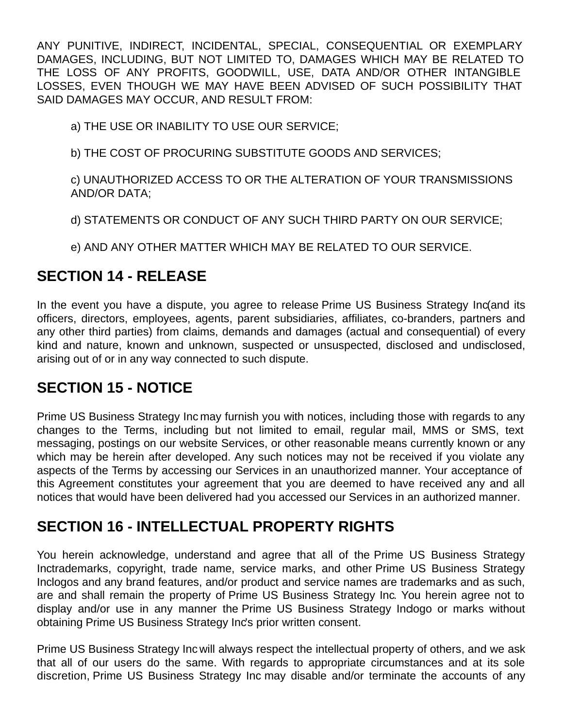ANY PUNITIVE, INDIRECT, INCIDENTAL, SPECIAL, CONSEQUENTIAL OR EXEMPLARY DAMAGES, INCLUDING, BUT NOT LIMITED TO, DAMAGES WHICH MAY BE RELATED TO THE LOSS OF ANY PROFITS, GOODWILL, USE, DATA AND/OR OTHER INTANGIBLE LOSSES, EVEN THOUGH WE MAY HAVE BEEN ADVISED OF SUCH POSSIBILITY THAT SAID DAMAGES MAY OCCUR, AND RESULT FROM:

a) THE USE OR INABILITY TO USE OUR SERVICE;

b) THE COST OF PROCURING SUBSTITUTE GOODS AND SERVICES;

c) UNAUTHORIZED ACCESS TO OR THE ALTERATION OF YOUR TRANSMISSIONS AND/OR DATA;

d) STATEMENTS OR CONDUCT OF ANY SUCH THIRD PARTY ON OUR SERVICE;

e) AND ANY OTHER MATTER WHICH MAY BE RELATED TO OUR SERVICE.

## **SECTION 14 - RELEASE**

In the event you have a dispute, you agree to release Prime US Business Strategy Inc(and its officers, directors, employees, agents, parent subsidiaries, affiliates, co-branders, partners and any other third parties) from claims, demands and damages (actual and consequential) of every kind and nature, known and unknown, suspected or unsuspected, disclosed and undisclosed, arising out of or in any way connected to such dispute.

## **SECTION 15 - NOTICE**

Prime US Business Strategy Inc may furnish you with notices, including those with regards to any changes to the Terms, including but not limited to email, regular mail, MMS or SMS, text messaging, postings on our website Services, or other reasonable means currently known or any which may be herein after developed. Any such notices may not be received if you violate any aspects of the Terms by accessing our Services in an unauthorized manner. Your acceptance of this Agreement constitutes your agreement that you are deemed to have received any and all notices that would have been delivered had you accessed our Services in an authorized manner.

## **SECTION 16 - INTELLECTUAL PROPERTY RIGHTS**

You herein acknowledge, understand and agree that all of the Prime US Business Strategy Inctrademarks, copyright, trade name, service marks, and other Prime US Business Strategy Inclogos and any brand features, and/or product and service names are trademarks and as such, are and shall remain the property of Prime US Business Strategy Inc. You herein agree not to display and/or use in any manner the Prime US Business Strategy Indogo or marks without obtaining Prime US Business Strategy Inc's prior written consent.

Prime US Business Strategy Inc will always respect the intellectual property of others, and we ask that all of our users do the same. With regards to appropriate circumstances and at its sole discretion, Prime US Business Strategy Inc may disable and/or terminate the accounts of any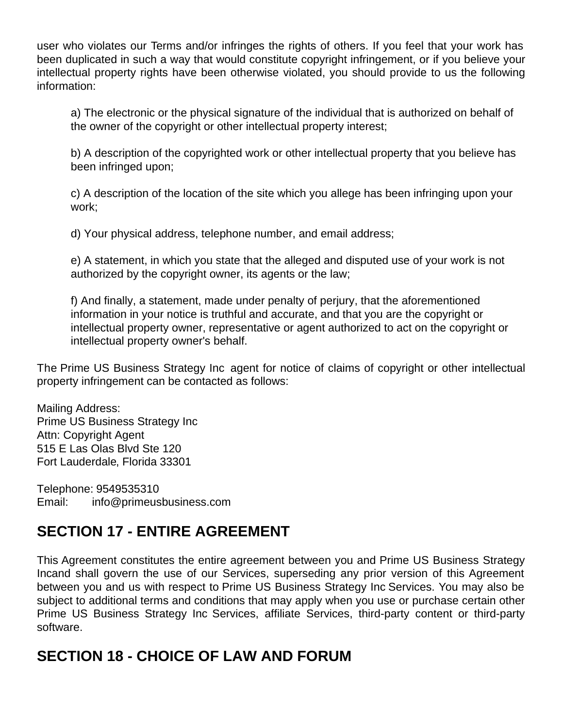user who violates our Terms and/or infringes the rights of others. If you feel that your work has been duplicated in such a way that would constitute copyright infringement, or if you believe your intellectual property rights have been otherwise violated, you should provide to us the following information:

a) The electronic or the physical signature of the individual that is authorized on behalf of the owner of the copyright or other intellectual property interest;

b) A description of the copyrighted work or other intellectual property that you believe has been infringed upon;

c) A description of the location of the site which you allege has been infringing upon your work;

d) Your physical address, telephone number, and email address;

e) A statement, in which you state that the alleged and disputed use of your work is not authorized by the copyright owner, its agents or the law;

f) And finally, a statement, made under penalty of perjury, that the aforementioned information in your notice is truthful and accurate, and that you are the copyright or intellectual property owner, representative or agent authorized to act on the copyright or intellectual property owner's behalf.

The Prime US Business Strategy Inc agent for notice of claims of copyright or other intellectual property infringement can be contacted as follows:

Mailing Address: Prime US Business Strategy Inc Attn: Copyright Agent 515 E Las Olas Blvd Ste 120 Fort Lauderdale, Florida 33301

Telephone: 9549535310 Email: info@primeusbusiness.com

## **SECTION 17 - ENTIRE AGREEMENT**

This Agreement constitutes the entire agreement between you and Prime US Business Strategy Incand shall govern the use of our Services, superseding any prior version of this Agreement between you and us with respect to Prime US Business Strategy Inc Services. You may also be subject to additional terms and conditions that may apply when you use or purchase certain other Prime US Business Strategy Inc Services, affiliate Services, third-party content or third-party software.

## **SECTION 18 - CHOICE OF LAW AND FORUM**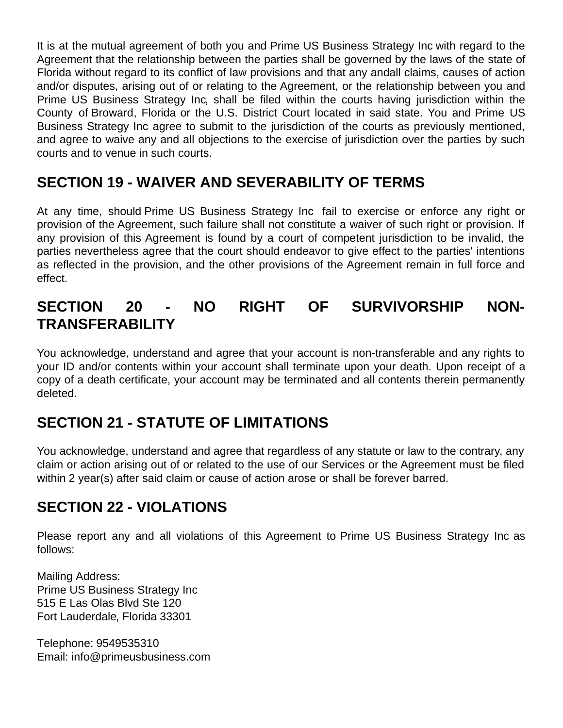It is at the mutual agreement of both you and Prime US Business Strategy Inc with regard to the Agreement that the relationship between the parties shall be governed by the laws of the state of Florida without regard to its conflict of law provisions and that any and all claims, causes of action and/or disputes, arising out of or relating to the Agreement, or the relationship between you and Prime US Business Strategy Inc, shall be filed within the courts having jurisdiction within the County of Broward, Florida or the U.S. District Court located in said state. You and Prime US Business Strategy Inc agree to submit to the jurisdiction of the courts as previously mentioned, and agree to waive any and all objections to the exercise of jurisdiction over the parties by such courts and to venue in such courts.

#### **SECTION 19 - WAIVER AND SEVERABILITY OF TERMS**

At any time, should Prime US Business Strategy Inc fail to exercise or enforce any right or provision of the Agreement, such failure shall not constitute a waiver of such right or provision. If any provision of this Agreement is found by a court of competent jurisdiction to be invalid, the parties nevertheless agree that the court should endeavor to give effect to the parties' intentions as reflected in the provision, and the other provisions of the Agreement remain in full force and effect.

#### **SECTION 20 - NO RIGHT OF SURVIVORSHIP NON-TRANSFERABILITY**

You acknowledge, understand and agree that your account is non-transferable and any rights to your ID and/or contents within your account shall terminate upon your death. Upon receipt of a copy of a death certificate, your account may be terminated and all contents therein permanently deleted.

## **SECTION 21 - STATUTE OF LIMITATIONS**

You acknowledge, understand and agree that regardless of any statute or law to the contrary, any claim or action arising out of or related to the use of our Services or the Agreement must be filed within 2 year(s) after said claim or cause of action arose or shall be forever barred.

## **SECTION 22 - VIOLATIONS**

Please report any and all violations of this Agreement to Prime US Business Strategy Inc as follows:

Mailing Address: Prime US Business Strategy Inc 515 E Las Olas Blvd Ste 120 Fort Lauderdale, Florida 33301

Telephone: 9549535310 Email: info@primeusbusiness.com